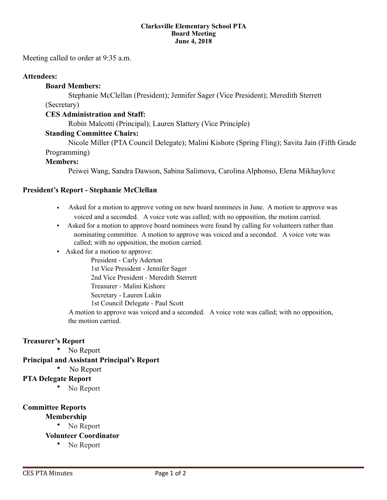#### **Clarksville Elementary School PTA Board Meeting June 4, 2018**

Meeting called to order at 9:35 a.m.

#### **Attendees:**

#### **Board Members:**

Stephanie McClellan (President); Jennifer Sager (Vice President); Meredith Sterrett

(Secretary)

#### **CES Administration and Staff:**

Robin Malcotti (Principal); Lauren Slattery (Vice Principle)

#### **Standing Committee Chairs:**

Nicole Miller (PTA Council Delegate); Malini Kishore (Spring Fling); Savita Jain (Fifth Grade Programming)

#### **Members:**

Peiwei Wang, Sandra Dawson, Sabina Salimova, Carolina Alphonso, Elena Mikhaylove

#### **President's Report - Stephanie McClellan**

- Asked for a motion to approve voting on new board nominees in June. A motion to approve was voiced and a seconded. A voice vote was called; with no opposition, the motion carried.
- Asked for a motion to approve board nominees were found by calling for volunteers rather than nominating committee. A motion to approve was voiced and a seconded. A voice vote was called; with no opposition, the motion carried.
- Asked for a motion to approve:

 President - Carly Aderton 1st Vice President - Jennifer Sager 2nd Vice President - Meredith Sterrett Treasurer - Malini Kishore Secretary - Lauren Lukin 1st Council Delegate - Paul Scott

 A motion to approve was voiced and a seconded. A voice vote was called; with no opposition, the motion carried.

#### **Treasurer's Report**

No Report

#### **Principal and Assistant Principal's Report**

No Report

#### **PTA Delegate Report**

No Report

#### **Committee Reports**

- **Membership** 
	- No Report
- **Volunteer Coordinator** 
	- No Report